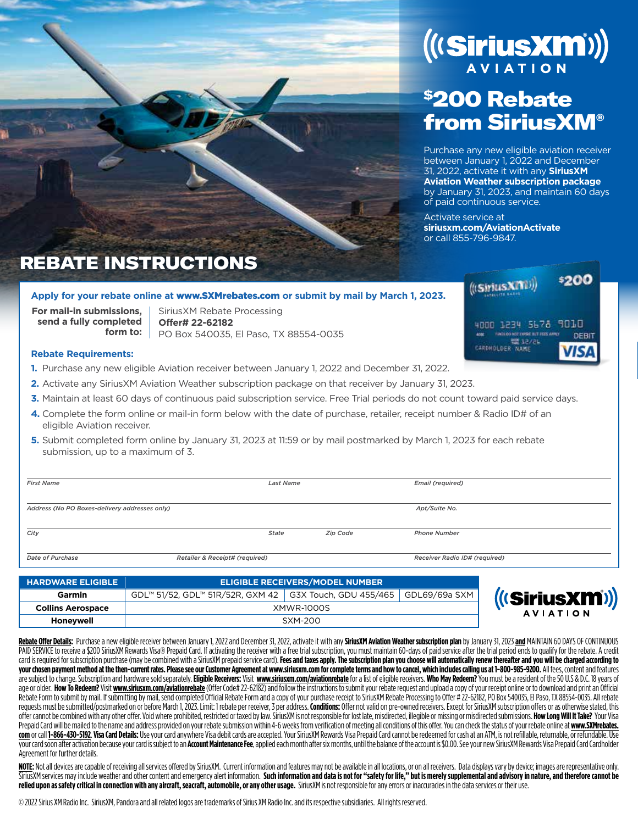# (((SiriusXM)))

## \$200 Rebate from SiriusXM®

Purchase any new eligible aviation receiver between January 1, 2022 and December 31, 2022, activate it with any **SiriusXM Aviation Weather subscription package** by January 31, 2023, and maintain 60 days of paid continuous service.

Activate service at **siriusxm.com/AviationActivate** or call 855-796-9847.

## REBATE INSTRUCTIONS

#### **Apply for your rebate online at** www.SXMrebates.com **or submit by mail by March 1, 2023.**

**For mail-in submissions, send a fully completed form to:**

SiriusXM Rebate Processing **Offer# 22-62182** PO Box 540035, El Paso, TX 88554-0035



\$200

#### **Rebate Requirements:**

- **1.** Purchase any new eligible Aviation receiver between January 1, 2022 and December 31, 2022.
- **2.** Activate any SiriusXM Aviation Weather subscription package on that receiver by January 31, 2023.
- **3.** Maintain at least 60 days of continuous paid subscription service. Free Trial periods do not count toward paid service days.
- **4.** Complete the form online or mail-in form below with the date of purchase, retailer, receipt number & Radio ID# of an eligible Aviation receiver.
- **5.** Submit completed form online by January 31, 2023 at 11:59 or by mail postmarked by March 1, 2023 for each rebate submission, up to a maximum of 3.

| <b>First Name</b>                             |                                | <b>Last Name</b> |          | <b>Email (required)</b>       |  |
|-----------------------------------------------|--------------------------------|------------------|----------|-------------------------------|--|
| Address (No PO Boxes-delivery addresses only) |                                |                  |          | Apt/Suite No.                 |  |
| City                                          | <b>State</b>                   |                  | Zip Code | <b>Phone Number</b>           |  |
| Date of Purchase                              | Retailer & Receipt# (required) |                  |          | Receiver Radio ID# (required) |  |

| <b>HARDWARE ELIGIBLE</b> | <b>ELIGIBLE RECEIVERS/MODEL NUMBER</b>                                    |  |  |  |  |  |
|--------------------------|---------------------------------------------------------------------------|--|--|--|--|--|
| Garmin                   | GDL™ 51/52, GDL™ 51R/52R, GXM 42   G3X Touch, GDU 455/465   GDL69/69a SXM |  |  |  |  |  |
| <b>Collins Aerospace</b> | <b>XMWR-1000S</b>                                                         |  |  |  |  |  |
| Honevwell                | SXM-200                                                                   |  |  |  |  |  |

Rebate Offer Details: Purchase a new eligible receiver between January 1, 2022 and December 31, 2022, activate it with any SiriusXM Aviation Weather subscription plan by January 31, 2023 and MAINTAIN 60 DAYS OF CONTINUOUS PAID SERVICE to receive a \$200 SiriusXM Rewards Visa® Prepaid Card. If activating the receiver with a free trial subscription, you must maintain 60-days of paid service after the trial period ends to qualify for the rebate card is required for subscription purchase (may be combined with a SiriusXM prepaid service card). Fees and taxes apply. The subscription plan you choose will automatically renew thereafter and you will be charged accordin your chosen payment method at the then-current rates. Please see our Customer Agreement at www.siriusxm.com for complete terms and how to cancel, which includes calling us at 1-800-985-9200. All fees, content and features are subject to change. Subscription and hardware sold separately. Eligible Receivers: Visit www.siriusxm.com/aviationrebate for a list of eligible receivers. Who May Redeem? You must be a resident of the 50 U.S & D.C. 18 y age or older. How To Redeem? Visit www.siriusxm.com/aviationrebate (Offer Code# 22-62182) and follow the instructions to submit your rebate request and upload a copy of your receipt online or to download and print an Offic Rebate Form to submit by mail. If submitting by mail, send completed Official Rebate Form and a copy of your purchase receipt to SiriusXM Rebate Processing to Offer # 22-62182, PO Box 540035, EI Paso, TX 88554-0035. All re requests must be submitted/postmarked on or before March 1, 2023. Limit: 1 rebate per receiver, 3 per address. Conditions: Offer not valid on pre-owned receivers. Except for SiriusXM subscription offers or as otherwise sta offer cannot be combined with any other offer. Void where prohibited, restricted or taxed by law. SiriusXM is not responsible for lost late, misdirected, illegible or missing or misdirected submissions. How Long Will It Ta Prepaid Card will be mailed to the name and address provided on your rebate submission within 4-6 weeks from verification of meeting all conditions of this offer. You can check the status of your rebate online at www.SXMre com or call 1-866-430-5192. Visa Card Details: Use your card anywhere Visa debit cards are accepted. Your SiriusXM Rewards Visa Prepaid Card cannot be redeemed for cash at an ATM, is not refillable, returnable, or refundab your card soon after activation because your card is subject to an Account Maintenance Fee, applied each month after six months, until the balance of the account is \$0.00. See your new SiriusXM Rewards Visa Prepaid Card Ca Agreement for further details.

NOTE: Not all devices are capable of receiving all services offered by SiriusXM. Current information and features may not be available in all locations, or on all receivers. Data displays vary by device; images are represe SiriusXM services may include weather and other content and emergency alert information. Such information and data is not for "safety for life," but is merely supplemental and advisory in nature, and therefore cannot be **relied upon as safety critical in connection with any aircraft, seacraft, automobile, or any other usage.** SiriusXM is not responsible for any errors or inaccuracies in the data services or their use.

© 2022 Sirius XM Radio Inc. SiriusXM, Pandora and all related logos are trademarks of Sirius XM Radio Inc. and its respective subsidiaries. All rights reserved.